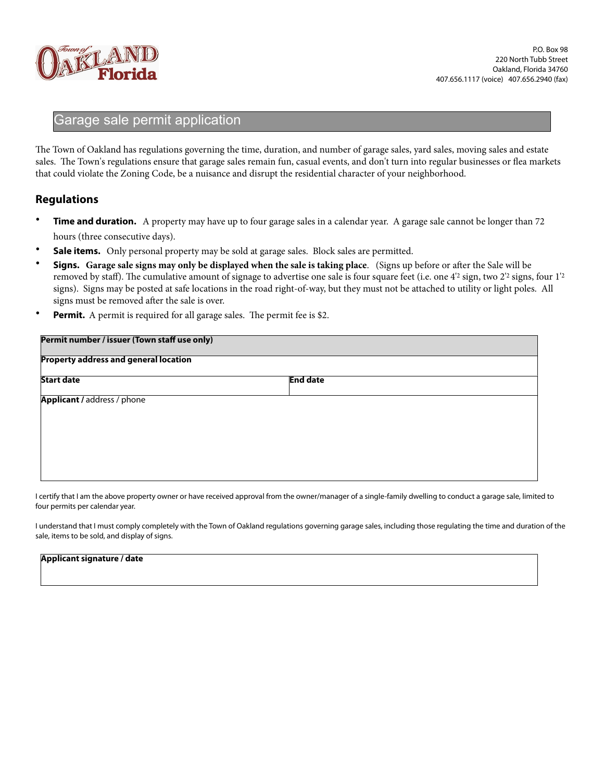

## Garage sale permit application

The Town of Oakland has regulations governing the time, duration, and number of garage sales, yard sales, moving sales and estate sales. The Town's regulations ensure that garage sales remain fun, casual events, and don't turn into regular businesses or flea markets that could violate the Zoning Code, be a nuisance and disrupt the residential character of your neighborhood.

## **Regulations**

- **Time and duration.** A property may have up to four garage sales in a calendar year. A garage sale cannot be longer than 72 hours (three consecutive days).
- **Sale items.** Only personal property may be sold at garage sales. Block sales are permitted.
- **Signs.** Garage sale signs may only be displayed when the sale is taking place. (Signs up before or after the Sale will be removed by staff). The cumulative amount of signage to advertise one sale is four square feet (i.e. one 4'2 sign, two 2'2 signs, four 1'2 signs). Signs may be posted at safe locations in the road right-of-way, but they must not be attached to utility or light poles. All signs must be removed after the sale is over.
- **Permit.** A permit is required for all garage sales. The permit fee is \$2.

| Permit number / issuer (Town staff use only)<br><b>Property address and general location</b> |  |  |  |  |
|----------------------------------------------------------------------------------------------|--|--|--|--|
|                                                                                              |  |  |  |  |
| Applicant / address / phone                                                                  |  |  |  |  |
|                                                                                              |  |  |  |  |
|                                                                                              |  |  |  |  |
|                                                                                              |  |  |  |  |
|                                                                                              |  |  |  |  |

I certify that I am the above property owner or have received approval from the owner/manager of a single-family dwelling to conduct a garage sale, limited to four permits per calendar year.

I understand that I must comply completely with the Town of Oakland regulations governing garage sales, including those regulating the time and duration of the sale, items to be sold, and display of signs.